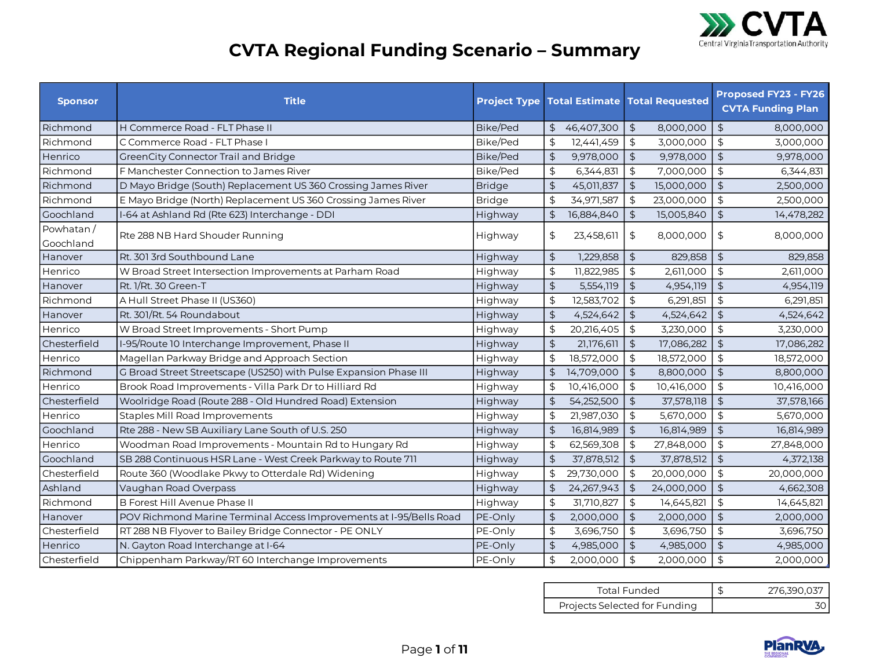

## **CVTA Regional Funding Scenario – Summary**

| <b>Sponsor</b> | <b>Title</b>                                                        |                 | <b>Project Type Total Estimate Total Requested</b> |                |            |                      | <b>Proposed FY23 - FY26</b><br><b>CVTA Funding Plan</b> |
|----------------|---------------------------------------------------------------------|-----------------|----------------------------------------------------|----------------|------------|----------------------|---------------------------------------------------------|
| Richmond       | H Commerce Road - FLT Phase II                                      | Bike/Ped        | 46,407,300<br>$\mathfrak{L}$                       | $\frac{4}{5}$  | 8,000,000  | \$                   | 8,000,000                                               |
| Richmond       | C Commerce Road - FLT Phase I                                       | <b>Bike/Ped</b> | \$<br>12,441,459                                   | $\frac{1}{2}$  | 3,000,000  | $\updownarrow$       | 3,000,000                                               |
| Henrico        | GreenCity Connector Trail and Bridge                                | <b>Bike/Ped</b> | $\frac{4}{5}$<br>9,978,000                         | $\updownarrow$ | 9,978,000  | $\frac{1}{2}$        | 9,978,000                                               |
| Richmond       | F Manchester Connection to James River                              | Bike/Ped        | $\frac{4}{5}$<br>6,344,831                         | $\frac{4}{3}$  | 7,000,000  | $\frac{1}{2}$        | 6,344,831                                               |
| Richmond       | D Mayo Bridge (South) Replacement US 360 Crossing James River       | <b>Bridge</b>   | $\frac{1}{2}$<br>45,011,837                        | $\frac{1}{2}$  | 15,000,000 | \$                   | 2,500,000                                               |
| Richmond       | E Mayo Bridge (North) Replacement US 360 Crossing James River       | <b>Bridge</b>   | $\frac{1}{2}$<br>34,971,587                        | $\updownarrow$ | 23,000,000 | \$                   | 2,500,000                                               |
| Goochland      | I-64 at Ashland Rd (Rte 623) Interchange - DDI                      | Highway         | $\updownarrow$<br>16,884,840                       | $\frac{1}{2}$  | 15,005,840 | \$                   | 14,478,282                                              |
| Powhatan/      | Rte 288 NB Hard Shouder Running                                     | Highway         | $\frac{1}{2}$<br>23,458,611                        | $\updownarrow$ | 8,000,000  | \$                   | 8,000,000                                               |
| Goochland      |                                                                     |                 |                                                    |                |            |                      |                                                         |
| Hanover        | Rt. 301 3rd Southbound Lane                                         | Highway         | $\updownarrow$<br>1,229,858                        | $\frac{1}{2}$  | 829,858    | $\frac{1}{2}$        | 829,858                                                 |
| Henrico        | W Broad Street Intersection Improvements at Parham Road             | Highway         | $\updownarrow$<br>11,822,985                       | \$             | 2,611,000  | \$                   | 2,611,000                                               |
| Hanover        | Rt. 1/Rt. 30 Green-T                                                | Highway         | $\frac{1}{2}$<br>5,554,119                         | $\frac{1}{2}$  | 4,954,119  | $\ddot{\mathcal{L}}$ | 4,954,119                                               |
| Richmond       | A Hull Street Phase II (US360)                                      | Highway         | $\updownarrow$<br>12,583,702                       | $\frac{1}{2}$  | 6,291,851  | $\frac{1}{2}$        | 6,291,851                                               |
| Hanover        | Rt. 301/Rt. 54 Roundabout                                           | Highway         | $\frac{4}{5}$<br>4,524,642                         | $\frac{1}{2}$  | 4,524,642  | \$                   | 4,524,642                                               |
| Henrico        | W Broad Street Improvements - Short Pump                            | Highway         | \$<br>20,216,405                                   | $\frac{1}{2}$  | 3,230,000  | \$                   | 3,230,000                                               |
| Chesterfield   | I-95/Route 10 Interchange Improvement, Phase II                     | Highway         | $\updownarrow$<br>21,176,611                       | $\frac{1}{2}$  | 17,086,282 | \$                   | 17,086,282                                              |
| Henrico        | Magellan Parkway Bridge and Approach Section                        | Highway         | $\updownarrow$<br>18,572,000                       | $\frac{1}{2}$  | 18,572,000 | $\mathfrak{L}$       | 18,572,000                                              |
| Richmond       | G Broad Street Streetscape (US250) with Pulse Expansion Phase III   | Highway         | $\frac{1}{2}$<br>14,709,000                        | $\updownarrow$ | 8,800,000  | $\frac{1}{2}$        | 8,800,000                                               |
| Henrico        | Brook Road Improvements - Villa Park Dr to Hilliard Rd              | Highway         | $\updownarrow$<br>10,416,000                       | $\frac{1}{2}$  | 10,416,000 | $\mathfrak{S}$       | 10,416,000                                              |
| Chesterfield   | Woolridge Road (Route 288 - Old Hundred Road) Extension             | <b>Highway</b>  | $\updownarrow$<br>54,252,500                       | $\frac{1}{2}$  | 37,578,118 | $\frac{4}{5}$        | 37,578,166                                              |
| Henrico        | <b>Staples Mill Road Improvements</b>                               | Highway         | $\frac{1}{2}$<br>21,987,030                        | \$             | 5,670,000  | $\frac{1}{2}$        | 5,670,000                                               |
| Goochland      | Rte 288 - New SB Auxiliary Lane South of U.S. 250                   | Highway         | $\frac{1}{2}$<br>16,814,989                        | $\updownarrow$ | 16,814,989 | \$                   | 16,814,989                                              |
| Henrico        | Woodman Road Improvements - Mountain Rd to Hungary Rd               | Highway         | $\frac{4}{5}$<br>62,569,308                        | \$             | 27,848,000 | $\frac{1}{2}$        | 27,848,000                                              |
| Goochland      | SB 288 Continuous HSR Lane - West Creek Parkway to Route 711        | Highway         | $\updownarrow$<br>37,878,512                       | $\frac{4}{5}$  | 37,878,512 | \$                   | 4,372,138                                               |
| Chesterfield   | Route 360 (Woodlake Pkwy to Otterdale Rd) Widening                  | Highway         | $\frac{4}{5}$<br>29,730,000                        | \$             | 20,000,000 | \$                   | 20,000,000                                              |
| Ashland        | Vaughan Road Overpass                                               | Highway         | $\frac{4}{5}$<br>24,267,943                        | $\frac{4}{5}$  | 24,000,000 | \$                   | 4,662,308                                               |
| Richmond       | <b>B Forest Hill Avenue Phase II</b>                                | Highway         | $\updownarrow$<br>31,710,827                       | $\frac{1}{2}$  | 14,645,821 | $\frac{1}{2}$        | 14,645,821                                              |
| Hanover        | POV Richmond Marine Terminal Access Improvements at I-95/Bells Road | PE-Only         | $\frac{1}{2}$<br>2,000,000                         | $\frac{1}{2}$  | 2,000,000  | $\frac{1}{2}$        | 2,000,000                                               |
| Chesterfield   | RT 288 NB Flyover to Bailey Bridge Connector - PE ONLY              | PE-Only         | $\updownarrow$<br>3,696,750                        | $\frac{1}{2}$  | 3,696,750  | \$                   | 3,696,750                                               |
| Henrico        | N. Gayton Road Interchange at I-64                                  | PE-Only         | $\frac{1}{2}$<br>4,985,000                         | $\frac{1}{2}$  | 4,985,000  | \$                   | 4,985,000                                               |
| Chesterfield   | Chippenham Parkway/RT 60 Interchange Improvements                   | PE-Only         | $\frac{1}{2}$<br>2,000,000                         | $\updownarrow$ | 2,000,000  | $\mathfrak{L}$       | 2,000,000                                               |

| Total Funded                  | 276,390,037 |
|-------------------------------|-------------|
| Projects Selected for Funding |             |

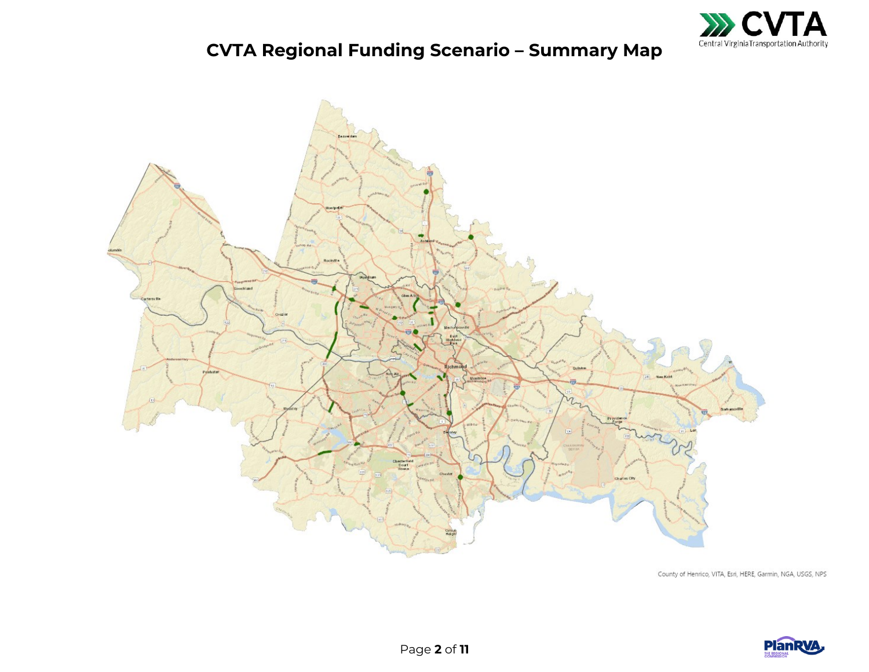

## **CVTA Regional Funding Scenario – Summary Map**



County of Henrico, VITA, Esri, HERE, Garmin, NGA, USGS, NPS

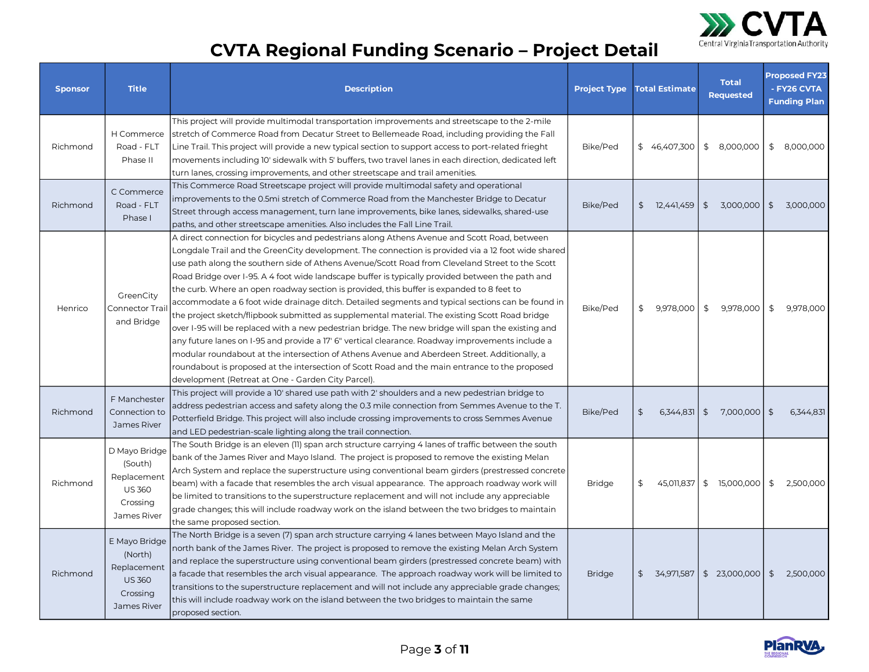

## **CVTA Regional Funding Scenario – Project Detail**

| <b>Sponsor</b> | <b>Title</b>                                                                        | <b>Description</b>                                                                                                                                                                                                                                                                                                                                                                                                                                                                                                                                                                                                                                                                                                                                                                                                                                                                                                                                                                                                                                                                                                                                                             | <b>Project Type</b> | <b>Total Estimate</b>       | <b>Total</b><br>Requested | <b>Proposed FY23</b><br>- FY26 CVTA<br><b>Funding Plan</b> |
|----------------|-------------------------------------------------------------------------------------|--------------------------------------------------------------------------------------------------------------------------------------------------------------------------------------------------------------------------------------------------------------------------------------------------------------------------------------------------------------------------------------------------------------------------------------------------------------------------------------------------------------------------------------------------------------------------------------------------------------------------------------------------------------------------------------------------------------------------------------------------------------------------------------------------------------------------------------------------------------------------------------------------------------------------------------------------------------------------------------------------------------------------------------------------------------------------------------------------------------------------------------------------------------------------------|---------------------|-----------------------------|---------------------------|------------------------------------------------------------|
| Richmond       | H Commerce<br>Road - FLT<br>Phase II                                                | This project will provide multimodal transportation improvements and streetscape to the 2-mile<br>stretch of Commerce Road from Decatur Street to Bellemeade Road, including providing the Fall<br>Line Trail. This project will provide a new typical section to support access to port-related frieght<br>movements including 10' sidewalk with 5' buffers, two travel lanes in each direction, dedicated left<br>turn lanes, crossing improvements, and other streetscape and trail amenities.                                                                                                                                                                                                                                                                                                                                                                                                                                                                                                                                                                                                                                                                              | Bike/Ped            | \$46,407,300                | \$<br>8,000,000           | 8,000,000<br>\$                                            |
| Richmond       | C Commerce<br>Road - FLT<br>Phase I                                                 | This Commerce Road Streetscape project will provide multimodal safety and operational<br>improvements to the 0.5mi stretch of Commerce Road from the Manchester Bridge to Decatur<br>Street through access management, turn lane improvements, bike lanes, sidewalks, shared-use<br>paths, and other streetscape amenities. Also includes the Fall Line Trail.                                                                                                                                                                                                                                                                                                                                                                                                                                                                                                                                                                                                                                                                                                                                                                                                                 | Bike/Ped            | $\frac{4}{5}$<br>12,441,459 | \$<br>3,000,000           | $\frac{1}{2}$<br>3,000,000                                 |
| Henrico        | GreenCity<br>Connector Trai<br>and Bridge                                           | A direct connection for bicycles and pedestrians along Athens Avenue and Scott Road, between<br>Longdale Trail and the GreenCity development. The connection is provided via a 12 foot wide shared<br>use path along the southern side of Athens Avenue/Scott Road from Cleveland Street to the Scott<br>Road Bridge over I-95. A 4 foot wide landscape buffer is typically provided between the path and<br>the curb. Where an open roadway section is provided, this buffer is expanded to 8 feet to<br>accommodate a 6 foot wide drainage ditch. Detailed segments and typical sections can be found in<br>the project sketch/flipbook submitted as supplemental material. The existing Scott Road bridge<br>over I-95 will be replaced with a new pedestrian bridge. The new bridge will span the existing and<br>any future lanes on I-95 and provide a 17' 6" vertical clearance. Roadway improvements include a<br>modular roundabout at the intersection of Athens Avenue and Aberdeen Street. Additionally, a<br>roundabout is proposed at the intersection of Scott Road and the main entrance to the proposed<br>development (Retreat at One - Garden City Parcel). | Bike/Ped            | \$<br>9,978,000             | \$<br>9,978,000           | \$<br>9,978,000                                            |
| Richmond       | F Manchester<br>Connection to<br>James River                                        | This project will provide a 10' shared use path with 2' shoulders and a new pedestrian bridge to<br>address pedestrian access and safety along the 0.3 mile connection from Semmes Avenue to the T.<br>Potterfield Bridge. This project will also include crossing improvements to cross Semmes Avenue<br>and LED pedestrian-scale lighting along the trail connection.                                                                                                                                                                                                                                                                                                                                                                                                                                                                                                                                                                                                                                                                                                                                                                                                        | Bike/Ped            | \$<br>6,344,831             | $\sqrt{2}$<br>7.000.000   | \$<br>6,344,831                                            |
| Richmond       | D Mayo Bridge<br>(South)<br>Replacement<br><b>US 360</b><br>Crossing<br>James River | The South Bridge is an eleven (11) span arch structure carrying 4 lanes of traffic between the south<br>bank of the James River and Mayo Island. The project is proposed to remove the existing Melan<br>Arch System and replace the superstructure using conventional beam girders (prestressed concrete<br>beam) with a facade that resembles the arch visual appearance. The approach roadway work will<br>be limited to transitions to the superstructure replacement and will not include any appreciable<br>grade changes; this will include roadway work on the island between the two bridges to maintain<br>the same proposed section.                                                                                                                                                                                                                                                                                                                                                                                                                                                                                                                                | <b>Bridge</b>       | \$<br>45,011,837            | \$15,000,000              | \$<br>2,500,000                                            |
| Richmond       | E Mayo Bridge<br>(North)<br>Replacement<br><b>US 360</b><br>Crossing<br>James River | The North Bridge is a seven (7) span arch structure carrying 4 lanes between Mayo Island and the<br>north bank of the James River. The project is proposed to remove the existing Melan Arch System<br>and replace the superstructure using conventional beam girders (prestressed concrete beam) with<br>a facade that resembles the arch visual appearance. The approach roadway work will be limited to<br>transitions to the superstructure replacement and will not include any appreciable grade changes;<br>this will include roadway work on the island between the two bridges to maintain the same<br>proposed section.                                                                                                                                                                                                                                                                                                                                                                                                                                                                                                                                              | <b>Bridge</b>       | \$<br>34,971,587            | \$23,000,000              | 2,500,000<br>$\frac{1}{2}$                                 |

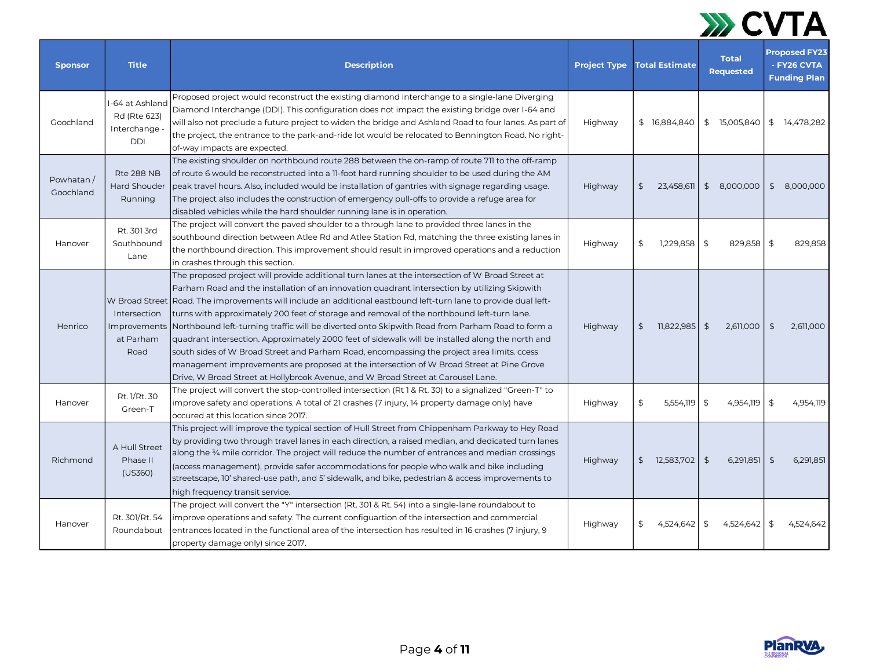

| <b>Sponsor</b>         | <b>Title</b>                                                   | <b>Description</b>                                                                                                                                                                                                                                                                                                                                                                                                                                                                                                                                                                                                                                                                                                                                                                                                                                                                                     | <b>Project Type</b> | <b>Total Estimate</b> | <b>Total</b><br><b>Requested</b> | <b>Proposed FY23</b><br>- FY26 CVTA<br><b>Funding Plan</b> |
|------------------------|----------------------------------------------------------------|--------------------------------------------------------------------------------------------------------------------------------------------------------------------------------------------------------------------------------------------------------------------------------------------------------------------------------------------------------------------------------------------------------------------------------------------------------------------------------------------------------------------------------------------------------------------------------------------------------------------------------------------------------------------------------------------------------------------------------------------------------------------------------------------------------------------------------------------------------------------------------------------------------|---------------------|-----------------------|----------------------------------|------------------------------------------------------------|
| Goochland              | I-64 at Ashland<br>Rd (Rte 623)<br>Interchange -<br><b>DDI</b> | Proposed project would reconstruct the existing diamond interchange to a single-lane Diverging<br>Diamond Interchange (DDI). This configuration does not impact the existing bridge over I-64 and<br>will also not preclude a future project to widen the bridge and Ashland Road to four lanes. As part of<br>the project, the entrance to the park-and-ride lot would be relocated to Bennington Road. No right-<br>of-way impacts are expected.                                                                                                                                                                                                                                                                                                                                                                                                                                                     | Highway             | \$16,884,840          | \$15,005,840                     | 14,478,282<br>\$                                           |
| Powhatan/<br>Goochland | <b>Rte 288 NB</b><br><b>Hard Shouder</b><br>Running            | The existing shoulder on northbound route 288 between the on-ramp of route 711 to the off-ramp<br>of route 6 would be reconstructed into a 11-foot hard running shoulder to be used during the AM<br>peak travel hours. Also, included would be installation of gantries with signage regarding usage.<br>The project also includes the construction of emergency pull-offs to provide a refuge area for<br>disabled vehicles while the hard shoulder running lane is in operation.                                                                                                                                                                                                                                                                                                                                                                                                                    | Highway             | \$<br>23,458,611      | $\frac{1}{2}$<br>8,000,000       | \$<br>8,000,000                                            |
| Hanover                | Rt. 301 3rd<br>Southbound<br>Lane                              | The project will convert the paved shoulder to a through lane to provided three lanes in the<br>southbound direction between Atlee Rd and Atlee Station Rd, matching the three existing lanes in<br>the northbound direction. This improvement should result in improved operations and a reduction<br>in crashes through this section.                                                                                                                                                                                                                                                                                                                                                                                                                                                                                                                                                                | Highway             | 1,229,858<br>\$       | \$<br>829,858                    | \$<br>829,858                                              |
| Henrico                | Intersection<br>Improvements<br>at Parham<br>Road              | The proposed project will provide additional turn lanes at the intersection of W Broad Street at<br>Parham Road and the installation of an innovation quadrant intersection by utilizing Skipwith<br>W Broad Street Road. The improvements will include an additional eastbound left-turn lane to provide dual left-<br>turns with approximately 200 feet of storage and removal of the northbound left-turn lane.<br>Northbound left-turning traffic will be diverted onto Skipwith Road from Parham Road to form a<br>quadrant intersection. Approximately 2000 feet of sidewalk will be installed along the north and<br>south sides of W Broad Street and Parham Road, encompassing the project area limits, ccess<br>management improvements are proposed at the intersection of W Broad Street at Pine Grove<br>Drive, W Broad Street at Hollybrook Avenue, and W Broad Street at Carousel Lane. | Highway             | $11,822,985$ \$<br>\$ | 2,611,000                        | 2,611,000<br>\$                                            |
| Hanover                | Rt. 1/Rt. 30<br>Green-T                                        | The project will convert the stop-controlled intersection (Rt 1 & Rt. 30) to a signalized "Green-T" to<br>improve safety and operations. A total of 21 crashes (7 injury, 14 property damage only) have<br>occured at this location since 2017.                                                                                                                                                                                                                                                                                                                                                                                                                                                                                                                                                                                                                                                        | Highway             | \$<br>5,554,119       | \$<br>4,954,119                  | \$<br>4,954,119                                            |
| Richmond               | A Hull Street<br>Phase II<br>(US360)                           | This project will improve the typical section of Hull Street from Chippenham Parkway to Hey Road<br>by providing two through travel lanes in each direction, a raised median, and dedicated turn lanes<br>along the $\frac{3}{4}$ mile corridor. The project will reduce the number of entrances and median crossings<br>(access management), provide safer accommodations for people who walk and bike including<br>streetscape, 10' shared-use path, and 5' sidewalk, and bike, pedestrian & access improvements to<br>high frequency transit service.                                                                                                                                                                                                                                                                                                                                               | Highway             | \$12,583,702          | $\frac{4}{5}$<br>6,291,851       | $\sqrt{2}$<br>6,291,851                                    |
| Hanover                | Rt. 301/Rt. 54<br>Roundabout                                   | The project will convert the "Y" intersection (Rt. 301 & Rt. 54) into a single-lane roundabout to<br>improve operations and safety. The current configuartion of the intersection and commercial<br>entrances located in the functional area of the intersection has resulted in 16 crashes (7 injury, 9<br>property damage only) since 2017.                                                                                                                                                                                                                                                                                                                                                                                                                                                                                                                                                          | Highway             | 4,524,642             | \$<br>4,524,642                  | \$<br>4,524,642                                            |

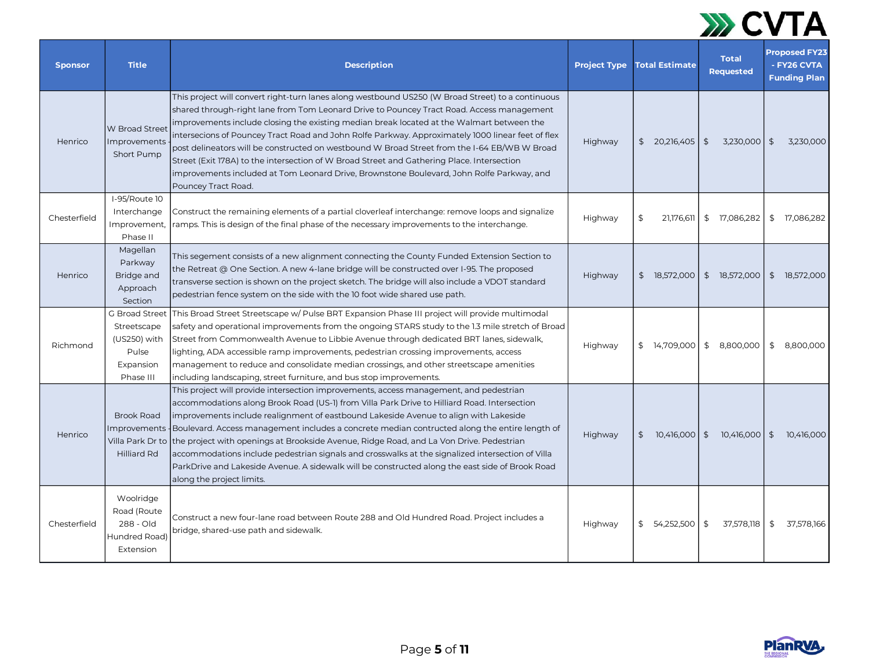

| <b>Sponsor</b> | <b>Title</b>                                                                     | <b>Description</b>                                                                                                                                                                                                                                                                                                                                                                                                                                                                                                                                                                                                                                                                                                              | <b>Project Type</b> | <b>Total Estimate</b>       | <b>Total</b><br><b>Requested</b> | <b>Proposed FY23</b><br>- FY26 CVTA<br><b>Funding Plan</b> |
|----------------|----------------------------------------------------------------------------------|---------------------------------------------------------------------------------------------------------------------------------------------------------------------------------------------------------------------------------------------------------------------------------------------------------------------------------------------------------------------------------------------------------------------------------------------------------------------------------------------------------------------------------------------------------------------------------------------------------------------------------------------------------------------------------------------------------------------------------|---------------------|-----------------------------|----------------------------------|------------------------------------------------------------|
| Henrico        | <b>W</b> Broad Street<br>Improvements<br>Short Pump                              | This project will convert right-turn lanes along westbound US250 (W Broad Street) to a continuous<br>shared through-right lane from Tom Leonard Drive to Pouncey Tract Road. Access management<br>improvements include closing the existing median break located at the Walmart between the<br>intersecions of Pouncey Tract Road and John Rolfe Parkway. Approximately 1000 linear feet of flex<br>post delineators will be constructed on westbound W Broad Street from the I-64 EB/WB W Broad<br>Street (Exit 178A) to the intersection of W Broad Street and Gathering Place. Intersection<br>improvements included at Tom Leonard Drive, Brownstone Boulevard, John Rolfe Parkway, and<br>Pouncey Tract Road.              | Highway             | \$20,216,405                | $\frac{1}{2}$<br>3,230,000       | $\sqrt{5}$<br>3,230,000                                    |
| Chesterfield   | I-95/Route 10<br>Interchange<br>Improvement,<br>Phase II                         | Construct the remaining elements of a partial cloverleaf interchange: remove loops and signalize<br>ramps. This is design of the final phase of the necessary improvements to the interchange.                                                                                                                                                                                                                                                                                                                                                                                                                                                                                                                                  | Highway             | \$<br>21,176,611            | \$ 17,086,282                    | \$<br>17,086,282                                           |
| Henrico        | Magellan<br>Parkway<br>Bridge and<br>Approach<br>Section                         | This segement consists of a new alignment connecting the County Funded Extension Section to<br>the Retreat @ One Section. A new 4-lane bridge will be constructed over I-95. The proposed<br>transverse section is shown on the project sketch. The bridge will also include a VDOT standard<br>pedestrian fence system on the side with the 10 foot wide shared use path.                                                                                                                                                                                                                                                                                                                                                      | Highway             | \$18,572,000                | \$18,572,000                     | \$18,572,000                                               |
| Richmond       | G Broad Street<br>Streetscape<br>(US250) with<br>Pulse<br>Expansion<br>Phase III | This Broad Street Streetscape w/ Pulse BRT Expansion Phase III project will provide multimodal<br>safety and operational improvements from the ongoing STARS study to the 1.3 mile stretch of Broad<br>Street from Commonwealth Avenue to Libbie Avenue through dedicated BRT lanes, sidewalk,<br>lighting, ADA accessible ramp improvements, pedestrian crossing improvements, access<br>management to reduce and consolidate median crossings, and other streetscape amenities<br>including landscaping, street furniture, and bus stop improvements.                                                                                                                                                                         | Highway             | \$14,709,000                | \$8,800,000                      | 8,800,000<br>\$                                            |
| Henrico        | <b>Brook Road</b><br><b>Improvements</b><br><b>Hilliard Rd</b>                   | This project will provide intersection improvements, access management, and pedestrian<br>accommodations along Brook Road (US-1) from Villa Park Drive to Hilliard Road. Intersection<br>improvements include realignment of eastbound Lakeside Avenue to align with Lakeside<br>Boulevard. Access management includes a concrete median contructed along the entire length of<br>Villa Park Dr to  the project with openings at Brookside Avenue, Ridge Road, and La Von Drive. Pedestrian<br>accommodations include pedestrian signals and crosswalks at the signalized intersection of Villa<br>ParkDrive and Lakeside Avenue. A sidewalk will be constructed along the east side of Brook Road<br>along the project limits. | Highway             | 10,416,000<br>$\mathsf{\$}$ | \$10,416,000                     | $\sqrt{5}$<br>10,416,000                                   |
| Chesterfield   | Woolridge<br>Road (Route<br>288 - Old<br>Hundred Road)<br><b>Extension</b>       | Construct a new four-lane road between Route 288 and Old Hundred Road. Project includes a<br>bridge, shared-use path and sidewalk.                                                                                                                                                                                                                                                                                                                                                                                                                                                                                                                                                                                              | Highway             | \$54,252,500                | \$<br>37,578,118                 | \$<br>37,578,166                                           |

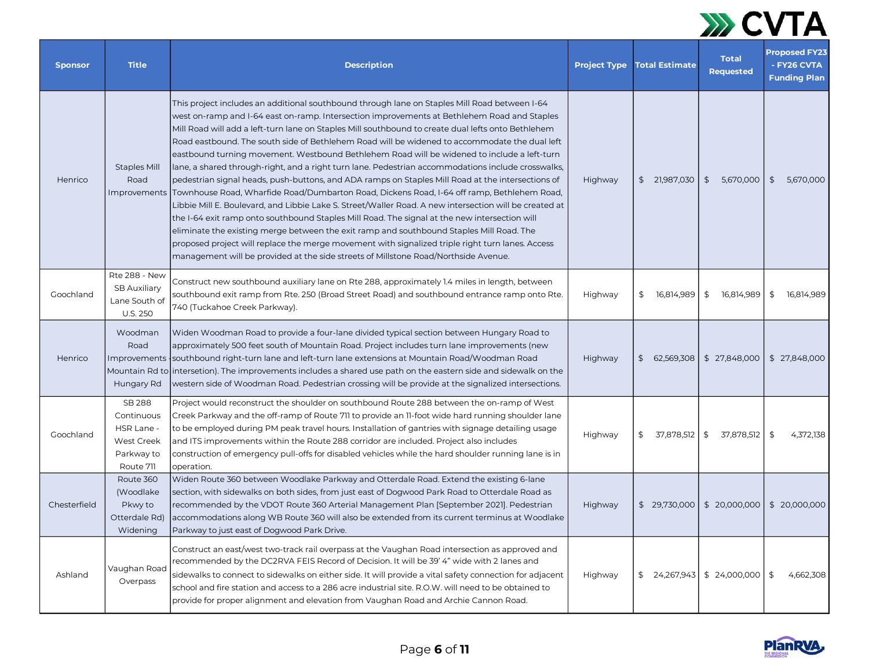

| <b>Sponsor</b> | <b>Title</b>                                                                              | <b>Description</b>                                                                                                                                                                                                                                                                                                                                                                                                                                                                                                                                                                                                                                                                                                                                                                                                                                                                                                                                                                                                                                                                                                                                                                                                                                                                                            | <b>Project Type</b> | <b>Total Estimate</b> | <b>Total</b><br><b>Requested</b> | <b>Proposed FY23</b><br>- FY26 CVTA<br><b>Funding Plan</b> |
|----------------|-------------------------------------------------------------------------------------------|---------------------------------------------------------------------------------------------------------------------------------------------------------------------------------------------------------------------------------------------------------------------------------------------------------------------------------------------------------------------------------------------------------------------------------------------------------------------------------------------------------------------------------------------------------------------------------------------------------------------------------------------------------------------------------------------------------------------------------------------------------------------------------------------------------------------------------------------------------------------------------------------------------------------------------------------------------------------------------------------------------------------------------------------------------------------------------------------------------------------------------------------------------------------------------------------------------------------------------------------------------------------------------------------------------------|---------------------|-----------------------|----------------------------------|------------------------------------------------------------|
| Henrico        | <b>Staples Mill</b><br>Road<br>Improvements                                               | This project includes an additional southbound through lane on Staples Mill Road between I-64<br>west on-ramp and I-64 east on-ramp. Intersection improvements at Bethlehem Road and Staples<br>Mill Road will add a left-turn lane on Staples Mill southbound to create dual lefts onto Bethlehem<br>Road eastbound. The south side of Bethlehem Road will be widened to accommodate the dual left<br>eastbound turning movement. Westbound Bethlehem Road will be widened to include a left-turn<br>lane, a shared through-right, and a right turn lane. Pedestrian accommodations include crosswalks,<br>pedestrian signal heads, push-buttons, and ADA ramps on Staples Mill Road at the intersections of<br>Townhouse Road, Wharfide Road/Dumbarton Road, Dickens Road, I-64 off ramp, Bethlehem Road,<br>Libbie Mill E. Boulevard, and Libbie Lake S. Street/Waller Road. A new intersection will be created at<br>the I-64 exit ramp onto southbound Staples Mill Road. The signal at the new intersection will<br>eliminate the existing merge between the exit ramp and southbound Staples Mill Road. The<br>proposed project will replace the merge movement with signalized triple right turn lanes. Access<br>management will be provided at the side streets of Millstone Road/Northside Avenue. | Highway             | \$21,987,030          | $\frac{4}{5}$<br>5,670,000       | \$<br>5.670.000                                            |
| Goochland      | <b>Rte 288 - New</b><br><b>SB Auxiliary</b><br>Lane South of<br>U.S. 250                  | Construct new southbound auxiliary lane on Rte 288, approximately 1.4 miles in length, between<br>southbound exit ramp from Rte. 250 (Broad Street Road) and southbound entrance ramp onto Rte.<br>740 (Tuckahoe Creek Parkway).                                                                                                                                                                                                                                                                                                                                                                                                                                                                                                                                                                                                                                                                                                                                                                                                                                                                                                                                                                                                                                                                              | Highway             | \$<br>16,814,989      | \$<br>16,814,989                 | \$<br>16,814,989                                           |
| Henrico        | Woodman<br>Road<br>Improvements<br>Mountain Rd to<br>Hungary Rd                           | Widen Woodman Road to provide a four-lane divided typical section between Hungary Road to<br>approximately 500 feet south of Mountain Road. Project includes turn lane improvements (new<br>southbound right-turn lane and left-turn lane extensions at Mountain Road/Woodman Road<br>intersetion). The improvements includes a shared use path on the eastern side and sidewalk on the<br>western side of Woodman Road. Pedestrian crossing will be provide at the signalized intersections.                                                                                                                                                                                                                                                                                                                                                                                                                                                                                                                                                                                                                                                                                                                                                                                                                 | Highway             | \$62,569,308          | \$27,848,000                     | \$ 27,848,000                                              |
| Goochland      | <b>SB 288</b><br>Continuous<br>HSR Lane -<br><b>West Creek</b><br>Parkway to<br>Route 711 | Project would reconstruct the shoulder on southbound Route 288 between the on-ramp of West<br>Creek Parkway and the off-ramp of Route 711 to provide an 11-foot wide hard running shoulder lane<br>to be employed during PM peak travel hours. Installation of gantries with signage detailing usage<br>and ITS improvements within the Route 288 corridor are included. Project also includes<br>construction of emergency pull-offs for disabled vehicles while the hard shoulder running lane is in<br>operation.                                                                                                                                                                                                                                                                                                                                                                                                                                                                                                                                                                                                                                                                                                                                                                                          | Highway             |                       | $$37,878,512$ \$ 37,878,512      | \$<br>4,372,138                                            |
| Chesterfield   | Route 360<br>(Woodlake)<br>Pkwy to<br>Otterdale Rd)<br>Widening                           | Widen Route 360 between Woodlake Parkway and Otterdale Road. Extend the existing 6-lane<br>section, with sidewalks on both sides, from just east of Dogwood Park Road to Otterdale Road as<br>recommended by the VDOT Route 360 Arterial Management Plan [September 2021]. Pedestrian<br>accommodations along WB Route 360 will also be extended from its current terminus at Woodlake<br>Parkway to just east of Dogwood Park Drive.                                                                                                                                                                                                                                                                                                                                                                                                                                                                                                                                                                                                                                                                                                                                                                                                                                                                         | Highway             | \$ 29.730.000         | \$20,000,000                     | \$ 20,000,000                                              |
| Ashland        | Vaughan Road<br>Overpass                                                                  | Construct an east/west two-track rail overpass at the Vaughan Road intersection as approved and<br>recommended by the DC2RVA FEIS Record of Decision. It will be 39' 4" wide with 2 lanes and<br>sidewalks to connect to sidewalks on either side. It will provide a vital safety connection for adjacent<br>school and fire station and access to a 286 acre industrial site. R.O.W. will need to be obtained to<br>provide for proper alignment and elevation from Vaughan Road and Archie Cannon Road.                                                                                                                                                                                                                                                                                                                                                                                                                                                                                                                                                                                                                                                                                                                                                                                                     | Highway             | \$24,267,943]         | \$24,000,000                     | 4.662.308<br>\$                                            |

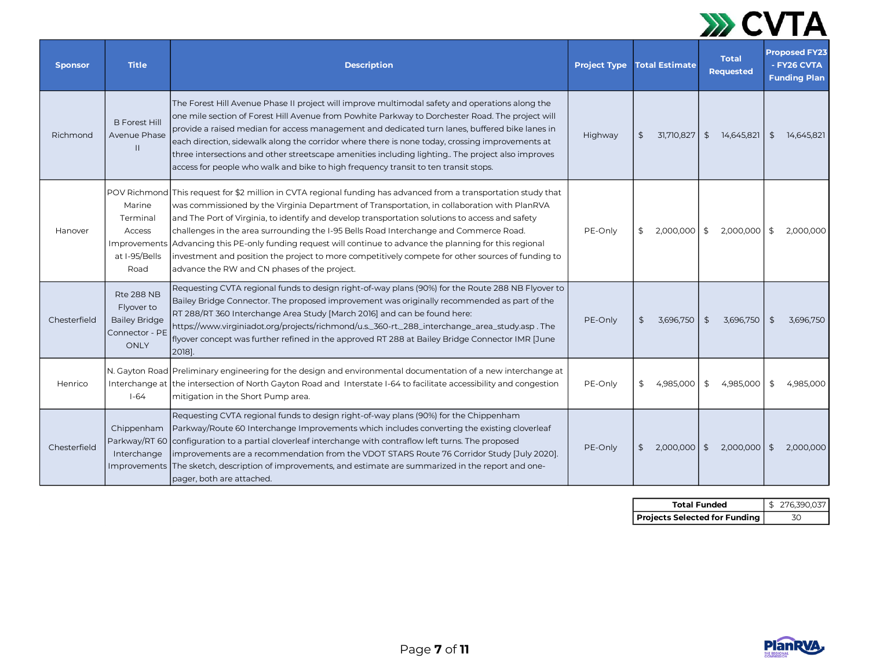

| <b>Sponsor</b> | <b>Title</b>                                                                      | <b>Description</b>                                                                                                                                                                                                                                                                                                                                                                                                                                                                                                                                                                                                                                                  | <b>Project Type</b> | <b>Total Estimate</b>       | <b>Total</b><br><b>Requested</b> | <b>Proposed FY23</b><br>- FY26 CVTA<br><b>Funding Plan</b> |
|----------------|-----------------------------------------------------------------------------------|---------------------------------------------------------------------------------------------------------------------------------------------------------------------------------------------------------------------------------------------------------------------------------------------------------------------------------------------------------------------------------------------------------------------------------------------------------------------------------------------------------------------------------------------------------------------------------------------------------------------------------------------------------------------|---------------------|-----------------------------|----------------------------------|------------------------------------------------------------|
| Richmond       | <b>B</b> Forest Hill<br>Avenue Phase<br>$\mathbf{H}$                              | The Forest Hill Avenue Phase II project will improve multimodal safety and operations along the<br>one mile section of Forest Hill Avenue from Powhite Parkway to Dorchester Road. The project will<br>provide a raised median for access management and dedicated turn lanes, buffered bike lanes in<br>each direction, sidewalk along the corridor where there is none today, crossing improvements at<br>three intersections and other streetscape amenities including lighting. The project also improves<br>access for people who walk and bike to high frequency transit to ten transit stops.                                                                | Highway             | 31,710,827<br>\$            | $\frac{1}{2}$<br>14,645,821      | \$<br>14.645.821                                           |
| Hanover        | Marine<br>Terminal<br><b>Access</b><br>Improvements<br>at I-95/Bells<br>Road      | POV Richmond This request for \$2 million in CVTA regional funding has advanced from a transportation study that<br>was commissioned by the Virginia Department of Transportation, in collaboration with PlanRVA<br>and The Port of Virginia, to identify and develop transportation solutions to access and safety<br>challenges in the area surrounding the I-95 Bells Road Interchange and Commerce Road.<br>Advancing this PE-only funding request will continue to advance the planning for this regional<br>investment and position the project to more competitively compete for other sources of funding to<br>advance the RW and CN phases of the project. | PE-Only             | 2,000,000<br>\$             | $\frac{1}{2}$<br>2,000,000       | \$<br>2,000,000                                            |
| Chesterfield   | <b>Rte 288 NB</b><br>Flyover to<br><b>Bailey Bridge</b><br>Connector - PE<br>ONLY | Requesting CVTA regional funds to design right-of-way plans (90%) for the Route 288 NB Flyover to<br>Bailey Bridge Connector. The proposed improvement was originally recommended as part of the<br>RT 288/RT 360 Interchange Area Study [March 2016] and can be found here:<br>https://www.virginiadot.org/projects/richmond/u.s._360-rt._288_interchange_area_study.asp.The<br>flyover concept was further refined in the approved RT 288 at Bailey Bridge Connector IMR June<br>2018].                                                                                                                                                                           | PE-Only             | \$<br>3,696,750             | \$<br>3,696,750                  | \$<br>3,696,750                                            |
| Henrico        | Interchange at<br>$1-64$                                                          | N. Gayton Road Preliminary engineering for the design and environmental documentation of a new interchange at<br>the intersection of North Gayton Road and Interstate I-64 to facilitate accessibility and congestion<br>mitigation in the Short Pump area.                                                                                                                                                                                                                                                                                                                                                                                                         | PE-Only             | 4.985.000<br>\$             | \$<br>4.985.000                  | 4.985.000<br>\$                                            |
| Chesterfield   | Chippenham<br>Parkway/RT 60<br>Interchange<br><b>Improvements</b>                 | Requesting CVTA regional funds to design right-of-way plans (90%) for the Chippenham<br>Parkway/Route 60 Interchange Improvements which includes converting the existing cloverleaf<br>configuration to a partial cloverleaf interchange with contraflow left turns. The proposed<br>improvements are a recommendation from the VDOT STARS Route 76 Corridor Study [July 2020].<br>The sketch, description of improvements, and estimate are summarized in the report and one-<br>pager, both are attached.                                                                                                                                                         | PE-Only             | 2,000,000<br>$\mathfrak{S}$ | $\frac{4}{5}$<br>2,000,000       | $\sqrt{5}$<br>2,000,000                                    |

| <b>Total Funded</b>                    | \$ 276,390,037 |
|----------------------------------------|----------------|
| <b>Projects Selected for Funding  </b> | 30             |

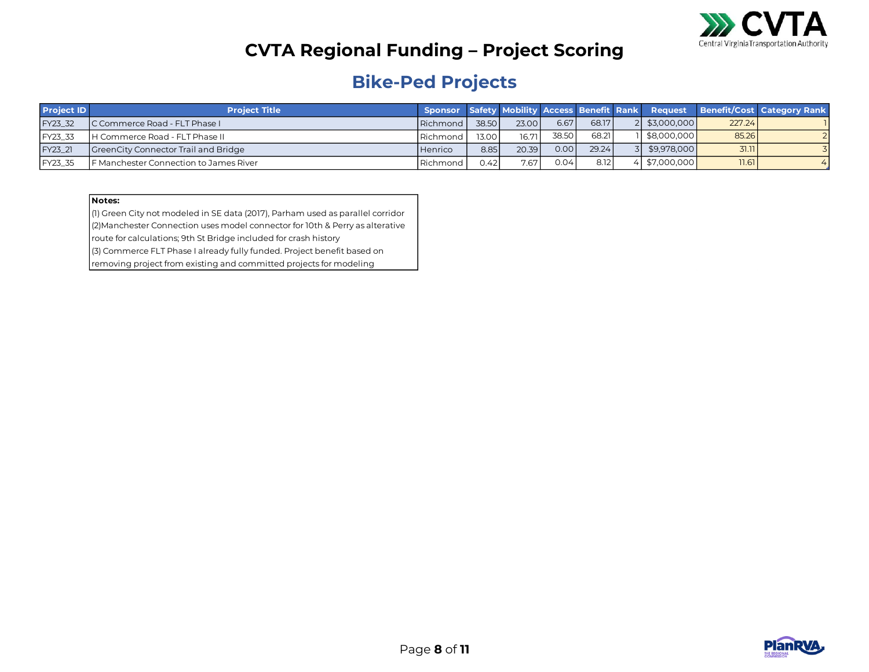

#### **Bike-Ped Projects**

| <b>Project ID</b> | <b>Project Title</b>                   |                  |       |       |       |       |             |        | Sponsor Safety Mobility Access Benefit Rank Request Benefit/Cost Category Rank |
|-------------------|----------------------------------------|------------------|-------|-------|-------|-------|-------------|--------|--------------------------------------------------------------------------------|
| FY23 32           | IC Commerce Road - FLT Phase I         | Richmond         | 38.50 | 23.00 | 6.67  | 68.17 | \$3,000,000 | 227.24 |                                                                                |
| <b>IFY23 33</b>   | <b>IH Commerce Road - FLT Phase II</b> | <b>IRichmond</b> | 13.00 | 16.71 | 38.50 | 68.21 | \$8,000,000 | 85.26  |                                                                                |
| FY23 21           | GreenCity Connector Trail and Bridge   | <b>Henrico</b>   | 8.85  | 20.39 | 0.00  | 29.24 | \$9.978,000 | 31.11  |                                                                                |
| FY23 35           | F Manchester Connection to James River | Richmond         | 9.42  | 7.67  | 0.04  | 8.12  | \$7,000,000 | 11.61  |                                                                                |

#### **Notes:**

(1) Green City not modeled in SE data (2017), Parham used as parallel corridor (2)Manchester Connection uses model connector for 10th & Perry as alterative route for calculations; 9th St Bridge included for crash history

(3) Commerce FLT Phase I already fully funded. Project benefit based on

removing project from existing and committed projects for modeling

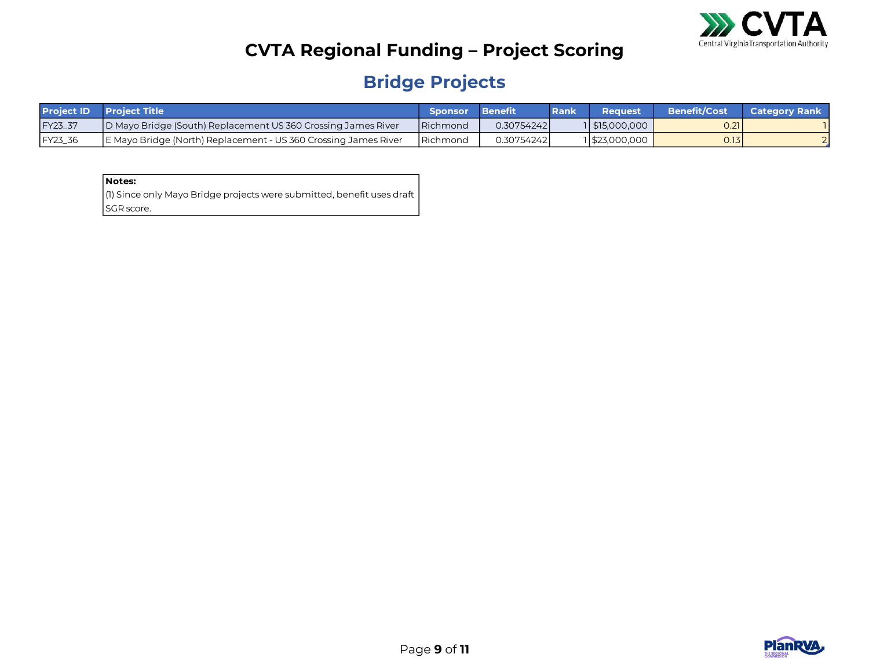

## **Bridge Projects**

|         | <b>Project ID</b> Project Title                                 | <b>Sponsor</b>    | <b>Benefit</b> | Rank | Reauest          | Benefit/Cost | <b>Category Rank</b> |
|---------|-----------------------------------------------------------------|-------------------|----------------|------|------------------|--------------|----------------------|
| FY23_37 | D Mayo Bridge (South) Replacement US 360 Crossing James River   | Richmond          | 0.30754242     |      | $1$ \$15,000,000 | 0.21         |                      |
| FY23_36 | E Mayo Bridge (North) Replacement - US 360 Crossing James River | <b>I</b> Richmond | 0.307542421    |      | 1523,000,000     | 0.131        |                      |

| Notes:                                                                 |
|------------------------------------------------------------------------|
| (1) Since only Mayo Bridge projects were submitted, benefit uses draft |
| SGR score.                                                             |

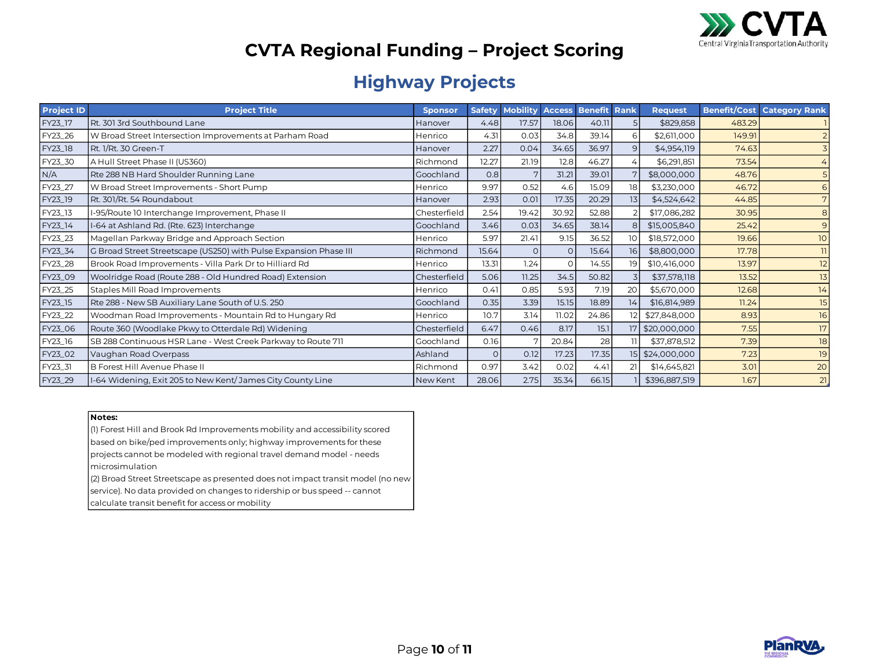

#### **Highway Projects**

| <b>Project ID</b> | <b>Project Title</b>                                              | <b>Sponsor</b> | <b>Safety</b> | <b>Mobility</b> | <b>Access</b> | <b>Benefit</b> | Rank            | <b>Request</b>  |        | <b>Benefit/Cost Category Rank</b> |
|-------------------|-------------------------------------------------------------------|----------------|---------------|-----------------|---------------|----------------|-----------------|-----------------|--------|-----------------------------------|
| FY23_17           | Rt. 301 3rd Southbound Lane                                       | Hanover        | 4.48          | 17.57           | 18.06         | 40.11          |                 | \$829,858       | 483.29 |                                   |
| FY23_26           | W Broad Street Intersection Improvements at Parham Road           | Henrico        | 4.31          | 0.03            | 34.8          | 39.14          | 6               | \$2,611,000     | 149.91 |                                   |
| FY23_18           | Rt. 1/Rt. 30 Green-T                                              | Hanover        | 2.27          | 0.04            | 34.65         | 36.97          | $\mathsf{Q}$    | \$4,954,119     | 74.63  |                                   |
| FY23_30           | A Hull Street Phase II (US360)                                    | Richmond       | 12.27         | 21.19           | 12.8          | 46.27          |                 | \$6,291,851     | 73.54  |                                   |
| N/A               | Rte 288 NB Hard Shoulder Running Lane                             | Goochland      | 0.8           | 7               | 31.21         | 39.01          |                 | \$8,000,000     | 48.76  |                                   |
| FY23_27           | W Broad Street Improvements - Short Pump                          | Henrico        | 9.97          | 0.52            | 4.6           | 15.09          | 18              | \$3,230,000     | 46.72  | 6                                 |
| FY23_19           | Rt. 301/Rt. 54 Roundabout                                         | Hanover        | 2.93          | 0.01            | 17.35         | 20.29          | 13              | \$4,524,642     | 44.85  | 7                                 |
| FY23_13           | I-95/Route 10 Interchange Improvement, Phase II                   | Chesterfield   | 2.54          | 19.42           | 30.92         | 52.88          |                 | \$17,086,282    | 30.95  | 8                                 |
| FY23_14           | I-64 at Ashland Rd. (Rte. 623) Interchange                        | Goochland      | 3.46          | 0.03            | 34.65         | 38.14          | 8               | \$15,005,840    | 25.42  | 9                                 |
| FY23_23           | Magellan Parkway Bridge and Approach Section                      | Henrico        | 5.97          | 21.41           | 9.15          | 36.52          | 10 <sup>°</sup> | \$18,572,000    | 19.66  | 10 <sup>°</sup>                   |
| FY23_34           | G Broad Street Streetscape (US250) with Pulse Expansion Phase III | Richmond       | 15.64         | $\Omega$        | $\Omega$      | 15.64          | 16              | \$8,800,000     | 17.78  | 11                                |
| FY23_28           | Brook Road Improvements - Villa Park Dr to Hilliard Rd            | Henrico        | 13.31         | 1.24            | $\Omega$      | 14.55          | 19              | \$10,416,000    | 13.97  | 12                                |
| FY23_09           | Woolridge Road (Route 288 - Old Hundred Road) Extension           | Chesterfield   | 5.06          | 11.25           | 34.5          | 50.82          |                 | \$37,578,118    | 13.52  | 13                                |
| FY23_25           | Staples Mill Road Improvements                                    | Henrico        | 0.41          | 0.85            | 5.93          | 7.19           | 20              | \$5,670,000     | 12.68  | 14                                |
| FY23_15           | Rte 288 - New SB Auxiliary Lane South of U.S. 250                 | Goochland      | 0.35          | 3.39            | 15.15         | 18.89          | 14              | \$16,814,989    | 11.24  | 15                                |
| FY23_22           | Woodman Road Improvements - Mountain Rd to Hungary Rd             | Henrico        | 10.7          | 3.14            | 11.02         | 24.86          | 12              | \$27,848,000    | 8.93   | 16                                |
| FY23_06           | Route 360 (Woodlake Pkwy to Otterdale Rd) Widening                | Chesterfield   | 6.47          | 0.46            | 8.17          | 15.1           |                 | 17 \$20,000,000 | 7.55   | 17                                |
| FY23_16           | SB 288 Continuous HSR Lane - West Creek Parkway to Route 711      | Goochland      | 0.16          |                 | 20.84         | 28             | וו              | \$37,878,512    | 7.39   | 18                                |
| FY23_02           | Vaughan Road Overpass                                             | Ashland        | $\Omega$      | 0.12            | 17.23         | 17.35          |                 | 15 \$24,000,000 | 7.23   | 19                                |
| FY23_31           | B Forest Hill Avenue Phase II                                     | Richmond       | 0.97          | 3.42            | 0.02          | 4.41           | 21              | \$14,645,821    | 3.01   | 20                                |
| FY23_29           | I-64 Widening, Exit 205 to New Kent/James City County Line        | New Kent       | 28.06         | 2.75            | 35.34         | 66.15          |                 | \$396,887,519   | 1.67   | 21                                |

#### **Notes:**

(1) Forest Hill and Brook Rd Improvements mobility and accessibility scored based on bike/ped improvements only; highway improvements for these projects cannot be modeled with regional travel demand model - needs microsimulation

(2) Broad Street Streetscape as presented does not impact transit model (no new service). No data provided on changes to ridership or bus speed -- cannot calculate transit benefit for access or mobility